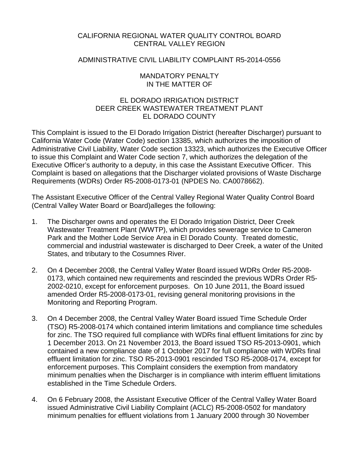# CALIFORNIA REGIONAL WATER QUALITY CONTROL BOARD CENTRAL VALLEY REGION

# ADMINISTRATIVE CIVIL LIABILITY COMPLAINT R5-2014-0556

### MANDATORY PENALTY IN THE MATTER OF

# EL DORADO IRRIGATION DISTRICT DEER CREEK WASTEWATER TREATMENT PLANT EL DORADO COUNTY

This Complaint is issued to the El Dorado Irrigation District (hereafter Discharger) pursuant to California Water Code (Water Code) section 13385, which authorizes the imposition of Administrative Civil Liability, Water Code section 13323, which authorizes the Executive Officer to issue this Complaint and Water Code section 7, which authorizes the delegation of the Executive Officer's authority to a deputy, in this case the Assistant Executive Officer. This Complaint is based on allegations that the Discharger violated provisions of Waste Discharge Requirements (WDRs) Order R5-2008-0173-01 (NPDES No. CA0078662).

The Assistant Executive Officer of the Central Valley Regional Water Quality Control Board (Central Valley Water Board or Board)alleges the following:

- 1. The Discharger owns and operates the El Dorado Irrigation District, Deer Creek Wastewater Treatment Plant (WWTP), which provides sewerage service to Cameron Park and the Mother Lode Service Area in El Dorado County. Treated domestic, commercial and industrial wastewater is discharged to Deer Creek, a water of the United States, and tributary to the Cosumnes River.
- 2. On 4 December 2008, the Central Valley Water Board issued WDRs Order R5-2008- 0173, which contained new requirements and rescinded the previous WDRs Order R5- 2002-0210, except for enforcement purposes. On 10 June 2011, the Board issued amended Order R5-2008-0173-01, revising general monitoring provisions in the Monitoring and Reporting Program.
- 3. On 4 December 2008, the Central Valley Water Board issued Time Schedule Order (TSO) R5-2008-0174 which contained interim limitations and compliance time schedules for zinc. The TSO required full compliance with WDRs final effluent limitations for zinc by 1 December 2013. On 21 November 2013, the Board issued TSO R5-2013-0901, which contained a new compliance date of 1 October 2017 for full compliance with WDRs final effluent limitation for zinc. TSO R5-2013-0901 rescinded TSO R5-2008-0174, except for enforcement purposes. This Complaint considers the exemption from mandatory minimum penalties when the Discharger is in compliance with interim effluent limitations established in the Time Schedule Orders.
- 4. On 6 February 2008, the Assistant Executive Officer of the Central Valley Water Board issued Administrative Civil Liability Complaint (ACLC) R5-2008-0502 for mandatory minimum penalties for effluent violations from 1 January 2000 through 30 November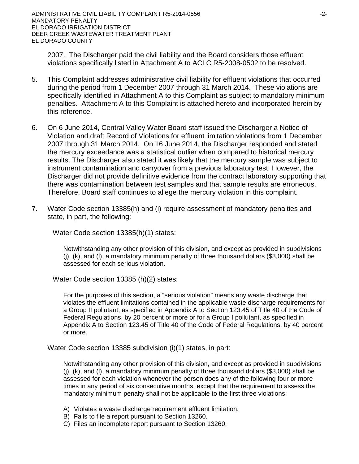2007. The Discharger paid the civil liability and the Board considers those effluent violations specifically listed in Attachment A to ACLC R5-2008-0502 to be resolved.

- 5. This Complaint addresses administrative civil liability for effluent violations that occurred during the period from 1 December 2007 through 31 March 2014. These violations are specifically identified in Attachment A to this Complaint as subject to mandatory minimum penalties. Attachment A to this Complaint is attached hereto and incorporated herein by this reference.
- 6. On 6 June 2014, Central Valley Water Board staff issued the Discharger a Notice of Violation and draft Record of Violations for effluent limitation violations from 1 December 2007 through 31 March 2014. On 16 June 2014, the Discharger responded and stated the mercury exceedance was a statistical outlier when compared to historical mercury results. The Discharger also stated it was likely that the mercury sample was subject to instrument contamination and carryover from a previous laboratory test. However, the Discharger did not provide definitive evidence from the contract laboratory supporting that there was contamination between test samples and that sample results are erroneous. Therefore, Board staff continues to allege the mercury violation in this complaint.
- 7. Water Code section 13385(h) and (i) require assessment of mandatory penalties and state, in part, the following:

Water Code section 13385(h)(1) states:

Notwithstanding any other provision of this division, and except as provided in subdivisions  $(i)$ ,  $(k)$ , and  $(l)$ , a mandatory minimum penalty of three thousand dollars (\$3,000) shall be assessed for each serious violation.

Water Code section 13385 (h)(2) states:

For the purposes of this section, a "serious violation" means any waste discharge that violates the effluent limitations contained in the applicable waste discharge requirements for a Group II pollutant, as specified in Appendix A to Section 123.45 of Title 40 of the Code of Federal Regulations, by 20 percent or more or for a Group I pollutant, as specified in Appendix A to Section 123.45 of Title 40 of the Code of Federal Regulations, by 40 percent or more.

Water Code section 13385 subdivision (i)(1) states, in part:

Notwithstanding any other provision of this division, and except as provided in subdivisions  $(i)$ ,  $(k)$ , and  $(l)$ , a mandatory minimum penalty of three thousand dollars (\$3,000) shall be assessed for each violation whenever the person does any of the following four or more times in any period of six consecutive months, except that the requirement to assess the mandatory minimum penalty shall not be applicable to the first three violations:

- A) Violates a waste discharge requirement effluent limitation.
- B) Fails to file a report pursuant to Section 13260.
- C) Files an incomplete report pursuant to Section 13260.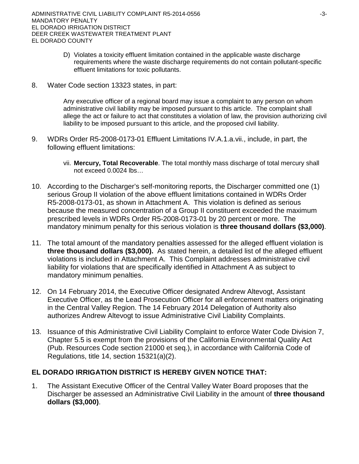- D) Violates a toxicity effluent limitation contained in the applicable waste discharge requirements where the waste discharge requirements do not contain pollutant-specific effluent limitations for toxic pollutants.
- 8. Water Code section 13323 states, in part:

Any executive officer of a regional board may issue a complaint to any person on whom administrative civil liability may be imposed pursuant to this article. The complaint shall allege the act or failure to act that constitutes a violation of law, the provision authorizing civil liability to be imposed pursuant to this article, and the proposed civil liability.

- 9. WDRs Order R5-2008-0173-01 Effluent Limitations IV.A.1.a.vii., include, in part, the following effluent limitations:
	- vii. **Mercury, Total Recoverable**. The total monthly mass discharge of total mercury shall not exceed 0.0024 lbs…
- 10. According to the Discharger's self-monitoring reports, the Discharger committed one (1) serious Group II violation of the above effluent limitations contained in WDRs Order R5-2008-0173-01, as shown in Attachment A. This violation is defined as serious because the measured concentration of a Group II constituent exceeded the maximum prescribed levels in WDRs Order R5-2008-0173-01 by 20 percent or more. The mandatory minimum penalty for this serious violation is **three thousand dollars (\$3,000)**.
- 11. The total amount of the mandatory penalties assessed for the alleged effluent violation is **three thousand dollars (\$3,000).** As stated herein, a detailed list of the alleged effluent violations is included in Attachment A. This Complaint addresses administrative civil liability for violations that are specifically identified in Attachment A as subject to mandatory minimum penalties.
- 12. On 14 February 2014, the Executive Officer designated Andrew Altevogt, Assistant Executive Officer, as the Lead Prosecution Officer for all enforcement matters originating in the Central Valley Region. The 14 February 2014 Delegation of Authority also authorizes Andrew Altevogt to issue Administrative Civil Liability Complaints.
- 13. Issuance of this Administrative Civil Liability Complaint to enforce Water Code Division 7, Chapter 5.5 is exempt from the provisions of the California Environmental Quality Act (Pub. Resources Code section 21000 et seq.), in accordance with California Code of Regulations, title 14, section 15321(a)(2).

# **EL DORADO IRRIGATION DISTRICT IS HEREBY GIVEN NOTICE THAT:**

1. The Assistant Executive Officer of the Central Valley Water Board proposes that the Discharger be assessed an Administrative Civil Liability in the amount of **three thousand dollars (\$3,000)**.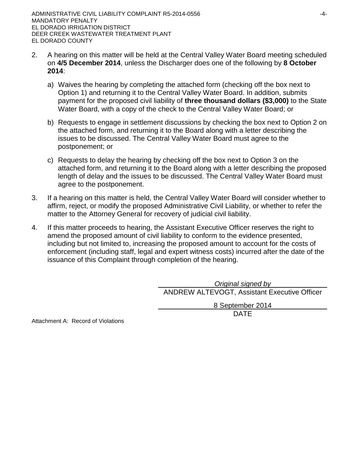- 2. A hearing on this matter will be held at the Central Valley Water Board meeting scheduled on **4/5 December 2014**, unless the Discharger does one of the following by **8 October 2014**:
	- a) Waives the hearing by completing the attached form (checking off the box next to Option 1) and returning it to the Central Valley Water Board. In addition, submits payment for the proposed civil liability of **three thousand dollars (\$3,000)** to the State Water Board, with a copy of the check to the Central Valley Water Board; or
	- b) Requests to engage in settlement discussions by checking the box next to Option 2 on the attached form, and returning it to the Board along with a letter describing the issues to be discussed. The Central Valley Water Board must agree to the postponement; or
	- c) Requests to delay the hearing by checking off the box next to Option 3 on the attached form, and returning it to the Board along with a letter describing the proposed length of delay and the issues to be discussed. The Central Valley Water Board must agree to the postponement.
- 3. If a hearing on this matter is held, the Central Valley Water Board will consider whether to affirm, reject, or modify the proposed Administrative Civil Liability, or whether to refer the matter to the Attorney General for recovery of judicial civil liability.
- 4. If this matter proceeds to hearing, the Assistant Executive Officer reserves the right to amend the proposed amount of civil liability to conform to the evidence presented, including but not limited to, increasing the proposed amount to account for the costs of enforcement (including staff, legal and expert witness costs) incurred after the date of the issuance of this Complaint through completion of the hearing.

*Original signed by* ANDREW ALTEVOGT, Assistant Executive Officer

8 September 2014

DATE

Attachment A: Record of Violations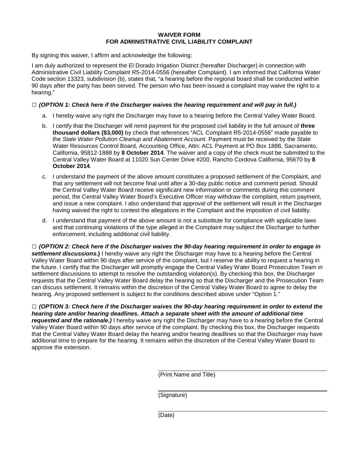#### **WAIVER FORM FOR ADMINISTRATIVE CIVIL LIABILITY COMPLAINT**

By signing this waiver, I affirm and acknowledge the following:

I am duly authorized to represent the El Dorado Irrigation District (hereafter Discharger) in connection with Administrative Civil Liability Complaint R5-2014-0556 (hereafter Complaint). I am informed that California Water Code section 13323, subdivision (b), states that, "a hearing before the regional board shall be conducted within 90 days after the party has been served. The person who has been issued a complaint may waive the right to a hearing."

#### **□** *(OPTION 1: Check here if the Discharger waives the hearing requirement and will pay in full.)*

- a. I hereby waive any right the Discharger may have to a hearing before the Central Valley Water Board.
- b. I certify that the Discharger will remit payment for the proposed civil liability in the full amount of **three thousand dollars (\$3,000)** by check that references "ACL Complaint R5-2014-0556" made payable to the *State Water Pollution Cleanup and Abatement Account*. Payment must be received by the State Water Resources Control Board, Accounting Office, Attn: ACL Payment at PO Box 1888, Sacramento, California, 95812-1888 by **8 October 2014**. The waiver and a copy of the check must be submitted to the Central Valley Water Board at 11020 Sun Center Drive #200, Rancho Cordova California, 95670 by **8 October 2014**.
- c. I understand the payment of the above amount constitutes a proposed settlement of the Complaint, and that any settlement will not become final until after a 30-day public notice and comment period. Should the Central Valley Water Board receive significant new information or comments during this comment period, the Central Valley Water Board's Executive Officer may withdraw the complaint, return payment, and issue a new complaint. I also understand that approval of the settlement will result in the Discharger having waived the right to contest the allegations in the Complaint and the imposition of civil liability.
- d. I understand that payment of the above amount is not a substitute for compliance with applicable laws and that continuing violations of the type alleged in the Complaint may subject the Discharger to further enforcement, including additional civil liability.

**□** *(OPTION 2: Check here if the Discharger waives the 90-day hearing requirement in order to engage in settlement discussions***.)** I hereby waive any right the Discharger may have to a hearing before the Central Valley Water Board within 90 days after service of the complaint, but I reserve the ability to request a hearing in the future. I certify that the Discharger will promptly engage the Central Valley Water Board Prosecution Team in settlement discussions to attempt to resolve the outstanding violation(s). By checking this box, the Discharger requests that the Central Valley Water Board delay the hearing so that the Discharger and the Prosecution Team can discuss settlement. It remains within the discretion of the Central Valley Water Board to agree to delay the hearing. Any proposed settlement is subject to the conditions described above under "Option 1."

**□** *(OPTION 3: Check here if the Discharger waives the 90-day hearing requirement in order to extend the hearing date and/or hearing deadlines. Attach a separate sheet with the amount of additional time requested and the rationale.)* I hereby waive any right the Discharger may have to a hearing before the Central Valley Water Board within 90 days after service of the complaint. By checking this box, the Discharger requests that the Central Valley Water Board delay the hearing and/or hearing deadlines so that the Discharger may have additional time to prepare for the hearing. It remains within the discretion of the Central Valley Water Board to approve the extension.

(Print Name and Title)

(Signature)

(Date)